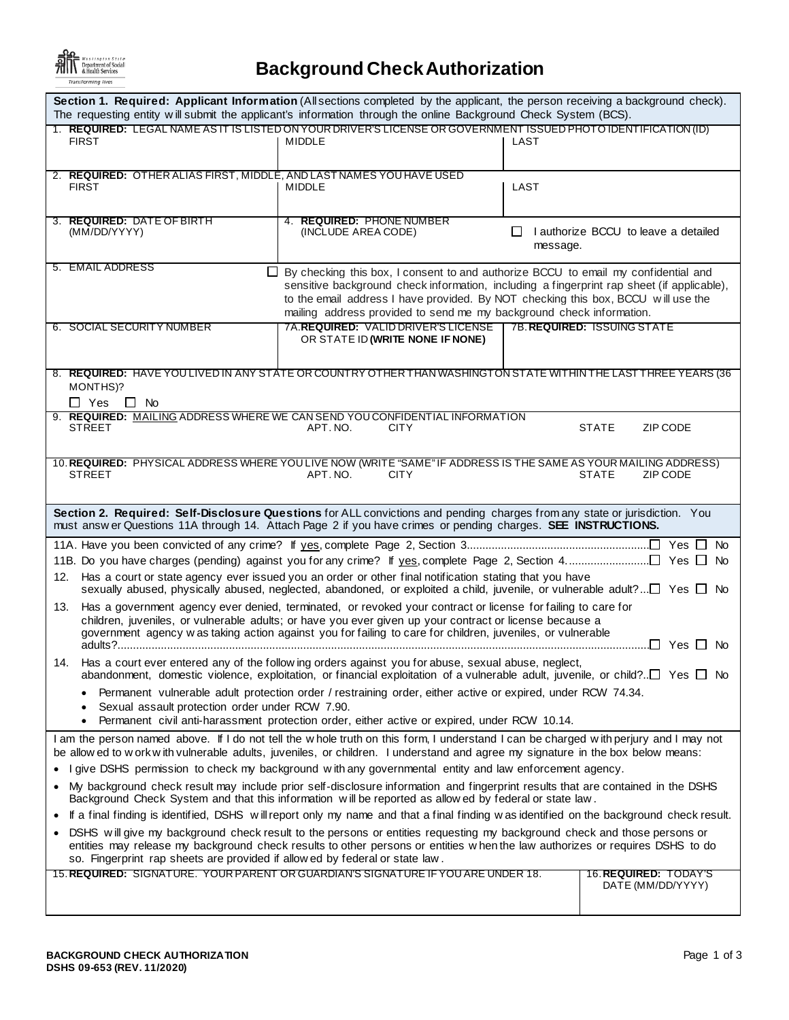

## **Background Check Authorization**

| Section 1. Required: Applicant Information (All sections completed by the applicant, the person receiving a background check).<br>The requesting entity will submit the applicant's information through the online Background Check System (BCS).                                                                                                                      |                                                         |  |  |  |
|------------------------------------------------------------------------------------------------------------------------------------------------------------------------------------------------------------------------------------------------------------------------------------------------------------------------------------------------------------------------|---------------------------------------------------------|--|--|--|
| 1. REQUIRED: LEGAL NAME AS IT IS LISTED ON YOUR DRIVER'S LICENSE OR GOVERNMENT ISSUED PHOTO IDENTIFICATION (ID)<br><b>FIRST</b><br><b>MIDDLE</b>                                                                                                                                                                                                                       | LAST                                                    |  |  |  |
| 2. REQUIRED: OTHER ALIAS FIRST, MIDDLE, AND LAST NAMES YOU HAVE USED<br><b>FIRST</b><br><b>MIDDLE</b>                                                                                                                                                                                                                                                                  | LAST                                                    |  |  |  |
| 3. REQUIRED: DATE OF BIRTH<br>4. REQUIRED: PHONE NUMBER<br>(MM/DD/YYYY)<br>(INCLUDE AREA CODE)                                                                                                                                                                                                                                                                         | $\Box$ I authorize BCCU to leave a detailed<br>message. |  |  |  |
| 5. EMAIL ADDRESS<br>By checking this box, I consent to and authorize BCCU to email my confidential and<br>⊔<br>sensitive background check information, including a fingerprint rap sheet (if applicable),<br>to the email address I have provided. By NOT checking this box, BCCU will use the<br>mailing address provided to send me my background check information. |                                                         |  |  |  |
| 7A. <b>REQUIRED:</b> VALID DRIVER'S LICENSE<br>6. SOCIAL SECURITY NUMBER<br>OR STATE ID (WRITE NONE IF NONE)                                                                                                                                                                                                                                                           | 7B. REQUIRED: ISSUING STATE                             |  |  |  |
| 8. REQUIRED: HAVE YOU LIVED IN ANY STATE OR COUNTRY OTHER THAN WASHINGTON STATE WITHIN THE LAST THREE YEARS (36<br>MONTHS)?<br>$\square$ Yes<br>$\Box$ No                                                                                                                                                                                                              |                                                         |  |  |  |
| 9. REQUIRED: MAILING ADDRESS WHERE WE CAN SEND YOU CONFIDENTIAL INFORMATION<br><b>STREET</b><br>APT. NO.<br><b>CITY</b>                                                                                                                                                                                                                                                | <b>STATE</b><br>ZIP CODE                                |  |  |  |
| 10. REQUIRED: PHYSICAL ADDRESS WHERE YOU LIVE NOW (WRITE "SAME" IF ADDRESS IS THE SAME AS YOUR MAILING ADDRESS)<br><b>STREET</b><br>APT. NO.<br><b>CITY</b>                                                                                                                                                                                                            | <b>STATE</b><br>ZIP CODE                                |  |  |  |
| Section 2. Required: Self-Disclosure Questions for ALL convictions and pending charges from any state or jurisdiction. You<br>must answ er Questions 11A through 14. Attach Page 2 if you have crimes or pending charges. SEE INSTRUCTIONS.                                                                                                                            |                                                         |  |  |  |
| 12. Has a court or state agency ever issued you an order or other final notification stating that you have<br>sexually abused, physically abused, neglected, abandoned, or exploited a child, juvenile, or vulnerable adult? $\Box$ Yes $\Box$ No                                                                                                                      |                                                         |  |  |  |
| Has a government agency ever denied, terminated, or revoked your contract or license for failing to care for<br>13.<br>children, juveniles, or vulnerable adults; or have you ever given up your contract or license because a<br>government agency w as taking action against you for failing to care for children, juveniles, or vulnerable                          |                                                         |  |  |  |
| 14. Has a court ever entered any of the follow ing orders against you for abuse, sexual abuse, neglect,<br>abandonment, domestic violence, exploitation, or financial exploitation of a vulnerable adult, juvenile, or child?□ Yes □ No                                                                                                                                |                                                         |  |  |  |
| Permanent vulnerable adult protection order / restraining order, either active or expired, under RCW 74.34.<br>Sexual assault protection order under RCW 7.90.                                                                                                                                                                                                         |                                                         |  |  |  |
| Permanent civil anti-harassment protection order, either active or expired, under RCW 10.14.<br>$\bullet$<br>I am the person named above. If I do not tell the whole truth on this form, I understand I can be charged with perjury and I may not                                                                                                                      |                                                         |  |  |  |
| be allow ed to w ork w ith vulnerable adults, juveniles, or children. I understand and agree my signature in the box below means:<br>I give DSHS permission to check my background with any governmental entity and law enforcement agency.<br>٠                                                                                                                       |                                                         |  |  |  |
| My background check result may include prior self-disclosure information and fingerprint results that are contained in the DSHS<br>$\bullet$<br>Background Check System and that this information will be reported as allowed by federal or state law.                                                                                                                 |                                                         |  |  |  |
| If a final finding is identified, DSHS will report only my name and that a final finding was identified on the background check result.                                                                                                                                                                                                                                |                                                         |  |  |  |
| DSHS will give my background check result to the persons or entities requesting my background check and those persons or<br>entities may release my background check results to other persons or entities when the law authorizes or requires DSHS to do<br>so. Fingerprint rap sheets are provided if allow ed by federal or state law.                               |                                                         |  |  |  |
| 15. REQUIRED: SIGNATURE. YOUR PARENT OR GUARDIAN'S SIGNATURE IF YOU ARE UNDER 18.                                                                                                                                                                                                                                                                                      | 16. REQUIRED: TODAY'S<br>DATE (MM/DD/YYYY)              |  |  |  |
|                                                                                                                                                                                                                                                                                                                                                                        |                                                         |  |  |  |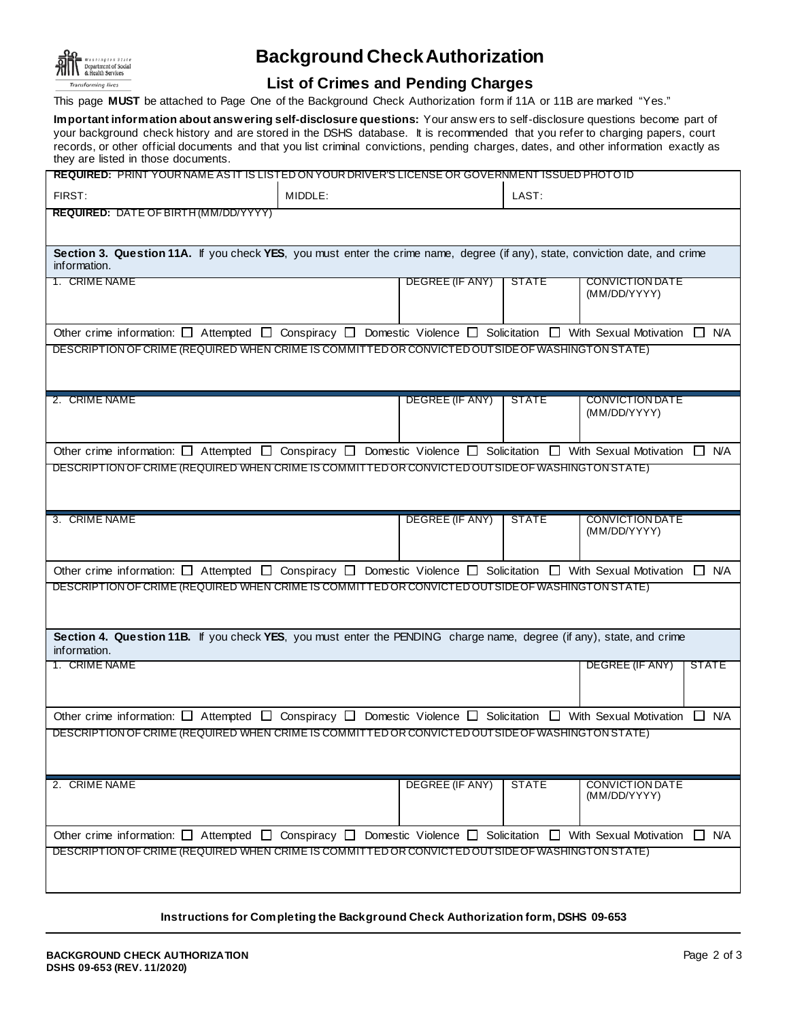

## **Background Check Authorization**

## **List of Crimes and Pending Charges**

This page **MUST** be attached to Page One of the Background Check Authorization form if 11A or 11B are marked "Yes."

**Important information about answering self-disclosure questions:** Your answ ers to self-disclosure questions become part of your background check history and are stored in the DSHS database. It is recommended that you refer to charging papers, court records, or other official documents and that you list criminal convictions, pending charges, dates, and other information exactly as they are listed in those documents.

| REQUIRED: PRINT YOUR NAME AS IT IS LISTED ON YOUR DRIVER'S LICENSE OR GOVERNMENT ISSUED PHOTO ID                                                     |         |                 |              |                                        |  |  |
|------------------------------------------------------------------------------------------------------------------------------------------------------|---------|-----------------|--------------|----------------------------------------|--|--|
| FIRST:                                                                                                                                               | MIDDLE: |                 | LAST:        |                                        |  |  |
| <b>REQUIRED: DATE OF BIRTH (MM/DD/YYYY)</b>                                                                                                          |         |                 |              |                                        |  |  |
|                                                                                                                                                      |         |                 |              |                                        |  |  |
| Section 3. Question 11A. If you check YES, you must enter the crime name, degree (if any), state, conviction date, and crime<br>information.         |         |                 |              |                                        |  |  |
| 1. CRIME NAME                                                                                                                                        |         | DEGREE (IF ANY) | <b>STATE</b> | <b>CONVICTION DATE</b><br>(MM/DD/YYYY) |  |  |
|                                                                                                                                                      |         |                 |              |                                        |  |  |
| Other crime information: $\Box$ Attempted $\Box$ Conspiracy $\Box$ Domestic Violence $\Box$ Solicitation $\Box$ With Sexual Motivation $\Box$ N/A    |         |                 |              |                                        |  |  |
| DESCRIPTION OF CRIME (REQUIRED WHEN CRIME IS COMMITTED OR CONVICTED OUTSIDE OF WASHINGTON STATE)                                                     |         |                 |              |                                        |  |  |
|                                                                                                                                                      |         |                 |              |                                        |  |  |
| 2. CRIME NAME                                                                                                                                        |         | DEGREE (IF ANY) | <b>STATE</b> | <b>CONVICTION DATE</b>                 |  |  |
|                                                                                                                                                      |         |                 |              | (MM/DD/YYYY)                           |  |  |
| Other crime information: $\Box$ Attempted $\Box$ Conspiracy $\Box$ Domestic Violence $\Box$ Solicitation $\Box$ With Sexual Motivation               |         |                 |              | $\Box$ N/A                             |  |  |
| DESCRIPTION OF CRIME (REQUIRED WHEN CRIME IS COMMITTED OR CONVICTED OUTSIDE OF WASHINGTON STATE)                                                     |         |                 |              |                                        |  |  |
|                                                                                                                                                      |         |                 |              |                                        |  |  |
|                                                                                                                                                      |         |                 |              |                                        |  |  |
| 3. CRIME NAME                                                                                                                                        |         | DEGREE (IF ANY) | <b>STATE</b> | <b>CONVICTION DATE</b>                 |  |  |
|                                                                                                                                                      |         |                 |              | (MM/DD/YYYY)                           |  |  |
|                                                                                                                                                      |         |                 |              |                                        |  |  |
| Other crime information: $\Box$ Attempted $\Box$ Conspiracy $\Box$ Domestic Violence $\Box$ Solicitation $\Box$ With Sexual Motivation $\Box$ N/A    |         |                 |              |                                        |  |  |
| DESCRIPTION OF CRIME (REQUIRED WHEN CRIME IS COMMITTED OR CONVICTED OUT SIDE OF WASHINGTON STATE)                                                    |         |                 |              |                                        |  |  |
|                                                                                                                                                      |         |                 |              |                                        |  |  |
| Section 4. Question 11B. If you check YES, you must enter the PENDING charge name, degree (if any), state, and crime<br>information.                 |         |                 |              |                                        |  |  |
| 1. CRIME NAME                                                                                                                                        |         |                 |              | DEGREE (IF ANY)<br><b>STATE</b>        |  |  |
|                                                                                                                                                      |         |                 |              |                                        |  |  |
|                                                                                                                                                      |         |                 |              |                                        |  |  |
| Other crime information: $\Box$ Attempted $\Box$ Conspiracy $\Box$ Domestic Violence $\Box$ Solicitation $\Box$ With Sexual Motivation<br>$\Box$ N/A |         |                 |              |                                        |  |  |
| DESCRIPTION OF CRIME (REQUIRED WHEN CRIME IS COMMITTED OR CONVICTED OUTSIDE OF WASHINGTON STATE)                                                     |         |                 |              |                                        |  |  |
|                                                                                                                                                      |         |                 |              |                                        |  |  |
| 2. CRIME NAME                                                                                                                                        |         | DEGREE (IF ANY) | <b>STATE</b> | <b>CONVICTION DATE</b>                 |  |  |
|                                                                                                                                                      |         |                 |              | (MM/DD/YYYY)                           |  |  |
|                                                                                                                                                      |         |                 |              |                                        |  |  |
| Other crime information: $\Box$ Attempted $\Box$ Conspiracy $\Box$ Domestic Violence $\Box$ Solicitation $\Box$ With Sexual Motivation $\Box$ N/A    |         |                 |              |                                        |  |  |
| DESCRIPTION OF CRIME (REQUIRED WHEN CRIME IS COMMITTED OR CONVICTED OUTSIDE OF WASHINGTON STATE)                                                     |         |                 |              |                                        |  |  |
|                                                                                                                                                      |         |                 |              |                                        |  |  |
|                                                                                                                                                      |         |                 |              |                                        |  |  |

**Instructions for Completing the Background Check Authorization form, DSHS 09-653**